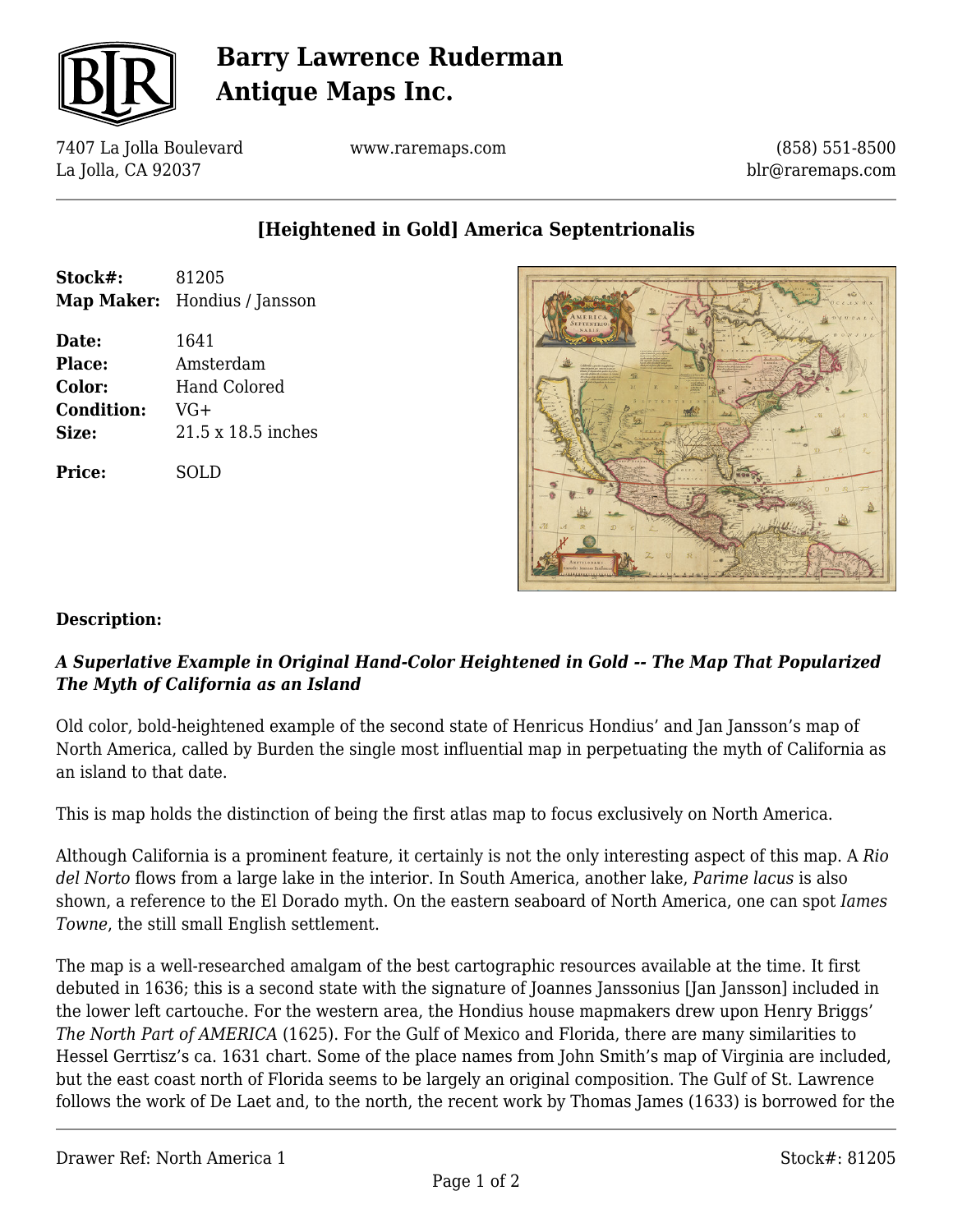

# **Barry Lawrence Ruderman Antique Maps Inc.**

7407 La Jolla Boulevard La Jolla, CA 92037

www.raremaps.com

(858) 551-8500 blr@raremaps.com

## **[Heightened in Gold] America Septentrionalis**

| 81205<br>Map Maker: Hondius / Jansson                            |
|------------------------------------------------------------------|
| 1641<br>Amsterdam<br>Hand Colored<br>$VG+$<br>21.5 x 18.5 inches |
| SOLD                                                             |
|                                                                  |



### **Description:**

### *A Superlative Example in Original Hand-Color Heightened in Gold -- The Map That Popularized The Myth of California as an Island*

Old color, bold-heightened example of the second state of Henricus Hondius' and Jan Jansson's map of North America, called by Burden the single most influential map in perpetuating the myth of California as an island to that date.

This is map holds the distinction of being the first atlas map to focus exclusively on North America.

Although California is a prominent feature, it certainly is not the only interesting aspect of this map. A *Rio del Norto* flows from a large lake in the interior. In South America, another lake, *Parime lacus* is also shown, a reference to the El Dorado myth. On the eastern seaboard of North America, one can spot *Iames Towne*, the still small English settlement.

The map is a well-researched amalgam of the best cartographic resources available at the time. It first debuted in 1636; this is a second state with the signature of Joannes Janssonius [Jan Jansson] included in the lower left cartouche. For the western area, the Hondius house mapmakers drew upon Henry Briggs' *The North Part of AMERICA* (1625). For the Gulf of Mexico and Florida, there are many similarities to Hessel Gerrtisz's ca. 1631 chart. Some of the place names from John Smith's map of Virginia are included, but the east coast north of Florida seems to be largely an original composition. The Gulf of St. Lawrence follows the work of De Laet and, to the north, the recent work by Thomas James (1633) is borrowed for the